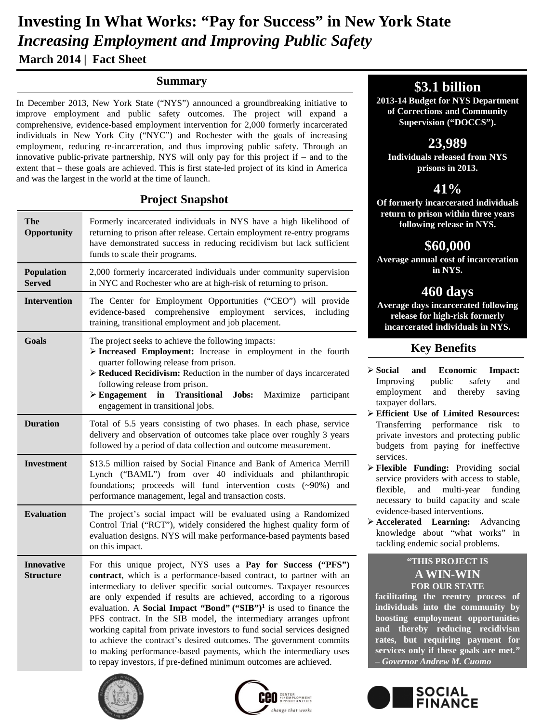# **March 2014 | Fact Sheet Investing In What Works: "Pay for Success" in New York State** *Increasing Employment and Improving Public Safety*

#### **Summary**

In December 2013, New York State ("NYS") announced a groundbreaking initiative to improve employment and public safety outcomes. The project will expand a comprehensive, evidence-based employment intervention for 2,000 formerly incarcerated individuals in New York City ("NYC") and Rochester with the goals of increasing employment, reducing re-incarceration, and thus improving public safety. Through an innovative public-private partnership, NYS will only pay for this project if – and to the extent that – these goals are achieved. This is first state-led project of its kind in America and was the largest in the world at the time of launch.

#### **Project Snapshot**

| <b>The</b><br>Opportunity             | Formerly incarcerated individuals in NYS have a high likelihood of<br>returning to prison after release. Certain employment re-entry programs<br>have demonstrated success in reducing recidivism but lack sufficient<br>funds to scale their programs.                                                                                                                                                                                                                                                                                                                                                                                                                                                                            |
|---------------------------------------|------------------------------------------------------------------------------------------------------------------------------------------------------------------------------------------------------------------------------------------------------------------------------------------------------------------------------------------------------------------------------------------------------------------------------------------------------------------------------------------------------------------------------------------------------------------------------------------------------------------------------------------------------------------------------------------------------------------------------------|
| Population<br><b>Served</b>           | 2,000 formerly incarcerated individuals under community supervision<br>in NYC and Rochester who are at high-risk of returning to prison.                                                                                                                                                                                                                                                                                                                                                                                                                                                                                                                                                                                           |
| <b>Intervention</b>                   | The Center for Employment Opportunities ("CEO") will provide<br>comprehensive<br>employment<br>evidence-based<br>services,<br>including<br>training, transitional employment and job placement.                                                                                                                                                                                                                                                                                                                                                                                                                                                                                                                                    |
| Goals                                 | The project seeks to achieve the following impacts:<br>> Increased Employment: Increase in employment in the fourth<br>quarter following release from prison.<br>> Reduced Recidivism: Reduction in the number of days incarcerated<br>following release from prison.<br>$\triangleright$ Engagement in<br>Jobs:<br><b>Transitional</b><br>Maximize<br>participant<br>engagement in transitional jobs.                                                                                                                                                                                                                                                                                                                             |
| <b>Duration</b>                       | Total of 5.5 years consisting of two phases. In each phase, service<br>delivery and observation of outcomes take place over roughly 3 years<br>followed by a period of data collection and outcome measurement.                                                                                                                                                                                                                                                                                                                                                                                                                                                                                                                    |
| Investment                            | \$13.5 million raised by Social Finance and Bank of America Merrill<br>Lynch ("BAML") from over 40 individuals and philanthropic<br>foundations; proceeds will fund intervention costs (~90%) and<br>performance management, legal and transaction costs.                                                                                                                                                                                                                                                                                                                                                                                                                                                                          |
| <b>Evaluation</b>                     | The project's social impact will be evaluated using a Randomized<br>Control Trial ("RCT"), widely considered the highest quality form of<br>evaluation designs. NYS will make performance-based payments based<br>on this impact.                                                                                                                                                                                                                                                                                                                                                                                                                                                                                                  |
| <b>Innovative</b><br><b>Structure</b> | For this unique project, NYS uses a Pay for Success ("PFS")<br>contract, which is a performance-based contract, to partner with an<br>intermediary to deliver specific social outcomes. Taxpayer resources<br>are only expended if results are achieved, according to a rigorous<br>evaluation. A Social Impact "Bond" ("SIB") <sup>1</sup> is used to finance the<br>PFS contract. In the SIB model, the intermediary arranges upfront<br>working capital from private investors to fund social services designed<br>to achieve the contract's desired outcomes. The government commits<br>to making performance-based payments, which the intermediary uses<br>to repay investors, if pre-defined minimum outcomes are achieved. |





# **\$3.1 billion**

**2013-14 Budget for NYS Department of Corrections and Community Supervision ("DOCCS").** 

# **23,989**

**Individuals released from NYS prisons in 2013.**

# **41%**

**Of formerly incarcerated individuals return to prison within three years following release in NYS.**

## **\$60,000**

**Average annual cost of incarceration in NYS.**

# **460 days**

**Average days incarcerated following release for high-risk formerly incarcerated individuals in NYS.** 

## **Key Benefits**

- **Social and Economic Impact:** Improving public safety and employment and thereby saving taxpayer dollars.
- **Efficient Use of Limited Resources:** Transferring performance risk to private investors and protecting public budgets from paying for ineffective services.
- **Flexible Funding:** Providing social service providers with access to stable, flexible, and multi-year funding necessary to build capacity and scale evidence-based interventions.
- **Accelerated Learning:** Advancing knowledge about "what works" in tackling endemic social problems.

#### **"THIS PROJECT IS A WIN-WIN FOR OUR STATE**

**facilitating the reentry process of individuals into the community by boosting employment opportunities and thereby reducing recidivism rates, but requiring payment for services only if these goals are met***." – Governor Andrew M. Cuomo*